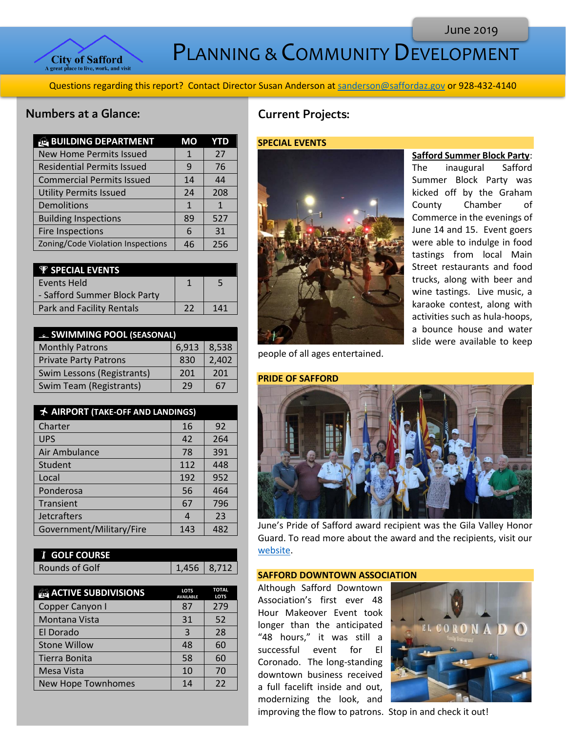PLANNING & COMMUNITY DEVELOPMENT

Questions regarding this report? Contact Director Susan Anderson a[t sanderson@saffordaz.gov](mailto:sanderson@saffordaz.gov) or 928-432-4140

# Numbers at a Glance:

| <b>BUILDING DEPARTMENT</b>        | МO | YTD         |
|-----------------------------------|----|-------------|
| <b>New Home Permits Issued</b>    | 1  | 27          |
| <b>Residential Permits Issued</b> | 9  | 76          |
| <b>Commercial Permits Issued</b>  | 14 | 44          |
| <b>Utility Permits Issued</b>     | 24 | 208         |
| Demolitions                       | 1  | $\mathbf 1$ |
| <b>Building Inspections</b>       | 89 | 527         |
| <b>Fire Inspections</b>           | 6  | 31          |
| Zoning/Code Violation Inspections | 46 | 256         |

| <b><i>V SPECIAL EVENTS</i></b>   |    |     |
|----------------------------------|----|-----|
| <b>Events Held</b>               |    |     |
| - Safford Summer Block Party     |    |     |
| <b>Park and Facility Rentals</b> | າາ | 141 |

| <b>ELL SWIMMING POOL (SEASONAL)</b> |       |       |
|-------------------------------------|-------|-------|
| <b>Monthly Patrons</b>              | 6,913 | 8,538 |
| <b>Private Party Patrons</b>        | 830   | 2,402 |
| Swim Lessons (Registrants)          | 201   | 201   |
| <b>Swim Team (Registrants)</b>      | 29    | 67    |

| AIRPORT (TAKE-OFF AND LANDINGS) |     |     |
|---------------------------------|-----|-----|
| Charter                         | 16  | 92  |
| <b>UPS</b>                      | 42  | 264 |
| Air Ambulance                   | 78  | 391 |
| Student                         | 112 | 448 |
| Local                           | 192 | 952 |
| Ponderosa                       | 56  | 464 |
| Transient                       | 67  | 796 |
| <b>Jetcrafters</b>              | 4   | 23  |
| Government/Military/Fire        | 143 | 482 |

| <b>I</b> GOLF COURSE |               |  |
|----------------------|---------------|--|
| Rounds of Golf       | $1,456$ 8,712 |  |

| <b>ACTIVE SUBDIVISIONS</b> | <b>LOTS</b><br><b>AVAILABLE</b> | <b>TOTAL</b><br><b>LOTS</b> |
|----------------------------|---------------------------------|-----------------------------|
| Copper Canyon I            | 87                              | 279                         |
| Montana Vista              | 31                              | 52                          |
| El Dorado                  | 3                               | 28                          |
| <b>Stone Willow</b>        | 48                              | 60                          |
| Tierra Bonita              | 58                              | 60                          |
| Mesa Vista                 | 10                              | 70                          |
| New Hope Townhomes         | 14                              | 22                          |

# Current Projects:

# **SPECIAL EVENTS**



**Safford Summer Block Party**:

The inaugural Safford Summer Block Party was kicked off by the Graham County Chamber of Commerce in the evenings of June 14 and 15. Event goers were able to indulge in food tastings from local Main Street restaurants and food trucks, along with beer and wine tastings. Live music, a karaoke contest, along with activities such as hula-hoops, a bounce house and water slide were available to keep

people of all ages entertained.



June's Pride of Safford award recipient was the Gila Valley Honor Guard. To read more about the award and the recipients, visit our [website.](http://az-safford.civicplus.com/288/Pride-of-Safford-Award)

#### **SAFFORD DOWNTOWN ASSOCIATION**

Although Safford Downtown Association's first ever 48 Hour Makeover Event took longer than the anticipated "48 hours," it was still a successful event for El Coronado. The long-standing downtown business received a full facelift inside and out, modernizing the look, and



improving the flow to patrons. Stop in and check it out!